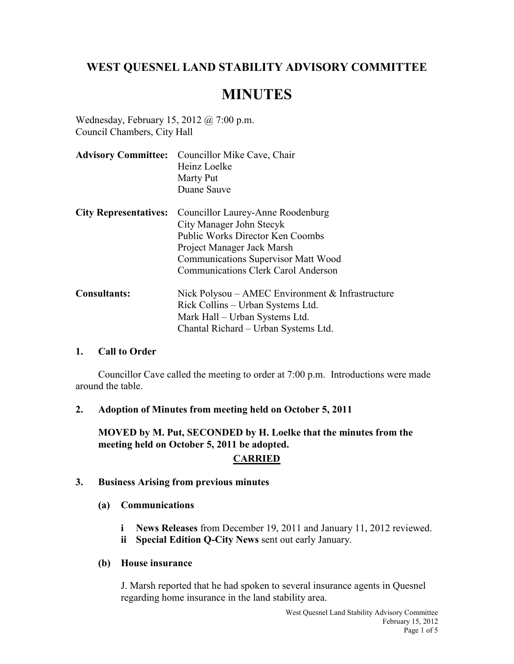# **WEST QUESNEL LAND STABILITY ADVISORY COMMITTEE**

# **MINUTES**

Wednesday, February 15, 2012 @ 7:00 p.m. Council Chambers, City Hall

|                              | <b>Advisory Committee:</b> Councillor Mike Cave, Chair |  |
|------------------------------|--------------------------------------------------------|--|
|                              | Heinz Loelke                                           |  |
|                              | Marty Put                                              |  |
|                              | Duane Sauve                                            |  |
| <b>City Representatives:</b> | Councillor Laurey-Anne Roodenburg                      |  |
|                              | City Manager John Stecyk                               |  |
|                              | Public Works Director Ken Coombs                       |  |
|                              | Project Manager Jack Marsh                             |  |
|                              | <b>Communications Supervisor Matt Wood</b>             |  |
|                              | Communications Clerk Carol Anderson                    |  |
| <b>Consultants:</b>          | Nick Polysou – AMEC Environment $\&$ Infrastructure    |  |
|                              | Rick Collins – Urban Systems Ltd.                      |  |
|                              | Mark Hall – Urban Systems Ltd.                         |  |
|                              | Chantal Richard – Urban Systems Ltd.                   |  |

#### **1. Call to Order**

Councillor Cave called the meeting to order at 7:00 p.m. Introductions were made around the table.

#### **2. Adoption of Minutes from meeting held on October 5, 2011**

**MOVED by M. Put, SECONDED by H. Loelke that the minutes from the meeting held on October 5, 2011 be adopted.**

# **CARRIED**

#### **3. Business Arising from previous minutes**

- **(a) Communications** 
	- **i News Releases** from December 19, 2011 and January 11, 2012 reviewed.
	- **ii Special Edition Q-City News** sent out early January.

#### **(b) House insurance**

J. Marsh reported that he had spoken to several insurance agents in Quesnel regarding home insurance in the land stability area.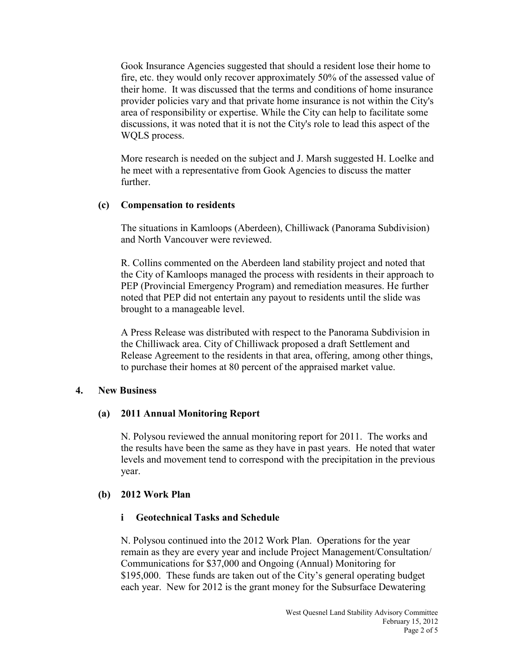Gook Insurance Agencies suggested that should a resident lose their home to fire, etc. they would only recover approximately 50% of the assessed value of their home. It was discussed that the terms and conditions of home insurance provider policies vary and that private home insurance is not within the City's area of responsibility or expertise. While the City can help to facilitate some discussions, it was noted that it is not the City's role to lead this aspect of the WQLS process.

More research is needed on the subject and J. Marsh suggested H. Loelke and he meet with a representative from Gook Agencies to discuss the matter further.

#### **(c) Compensation to residents**

The situations in Kamloops (Aberdeen), Chilliwack (Panorama Subdivision) and North Vancouver were reviewed.

R. Collins commented on the Aberdeen land stability project and noted that the City of Kamloops managed the process with residents in their approach to PEP (Provincial Emergency Program) and remediation measures. He further noted that PEP did not entertain any payout to residents until the slide was brought to a manageable level.

A Press Release was distributed with respect to the Panorama Subdivision in the Chilliwack area. City of Chilliwack proposed a draft Settlement and Release Agreement to the residents in that area, offering, among other things, to purchase their homes at 80 percent of the appraised market value.

#### **4. New Business**

#### **(a) 2011 Annual Monitoring Report**

N. Polysou reviewed the annual monitoring report for 2011. The works and the results have been the same as they have in past years. He noted that water levels and movement tend to correspond with the precipitation in the previous year.

#### **(b) 2012 Work Plan**

#### **i Geotechnical Tasks and Schedule**

N. Polysou continued into the 2012 Work Plan. Operations for the year remain as they are every year and include Project Management/Consultation/ Communications for \$37,000 and Ongoing (Annual) Monitoring for \$195,000. These funds are taken out of the City's general operating budget each year. New for 2012 is the grant money for the Subsurface Dewatering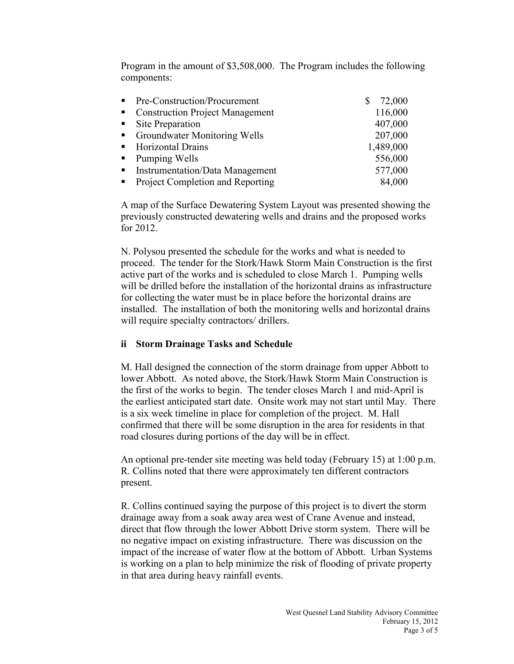Program in the amount of \$3,508,000. The Program includes the following components:

| $\blacksquare$ .            | Pre-Construction/Procurement           | 72,000    |
|-----------------------------|----------------------------------------|-----------|
| $\mathbf{H}^{\mathrm{max}}$ | <b>Construction Project Management</b> | 116,000   |
|                             | • Site Preparation                     | 407,000   |
| $\mathbf{r}$                | <b>Groundwater Monitoring Wells</b>    | 207,000   |
|                             | • Horizontal Drains                    | 1,489,000 |
|                             | Pumping Wells                          | 556,000   |
|                             | <b>Instrumentation/Data Management</b> | 577,000   |
|                             | Project Completion and Reporting       | 84,000    |

A map of the Surface Dewatering System Layout was presented showing the previously constructed dewatering wells and drains and the proposed works for 2012.

N. Polysou presented the schedule for the works and what is needed to proceed. The tender for the Stork/Hawk Storm Main Construction is the first active part of the works and is scheduled to close March 1. Pumping wells will be drilled before the installation of the horizontal drains as infrastructure for collecting the water must be in place before the horizontal drains are installed. The installation of both the monitoring wells and horizontal drains will require specialty contractors/ drillers.

#### **ii Storm Drainage Tasks and Schedule**

M. Hall designed the connection of the storm drainage from upper Abbott to lower Abbott. As noted above, the Stork/Hawk Storm Main Construction is the first of the works to begin. The tender closes March 1 and mid-April is the earliest anticipated start date. Onsite work may not start until May. There is a six week timeline in place for completion of the project. M. Hall confirmed that there will be some disruption in the area for residents in that road closures during portions of the day will be in effect.

An optional pre-tender site meeting was held today (February 15) at 1:00 p.m. R. Collins noted that there were approximately ten different contractors present.

R. Collins continued saying the purpose of this project is to divert the storm drainage away from a soak away area west of Crane Avenue and instead, direct that flow through the lower Abbott Drive storm system. There will be no negative impact on existing infrastructure. There was discussion on the impact of the increase of water flow at the bottom of Abbott. Urban Systems is working on a plan to help minimize the risk of flooding of private property in that area during heavy rainfall events.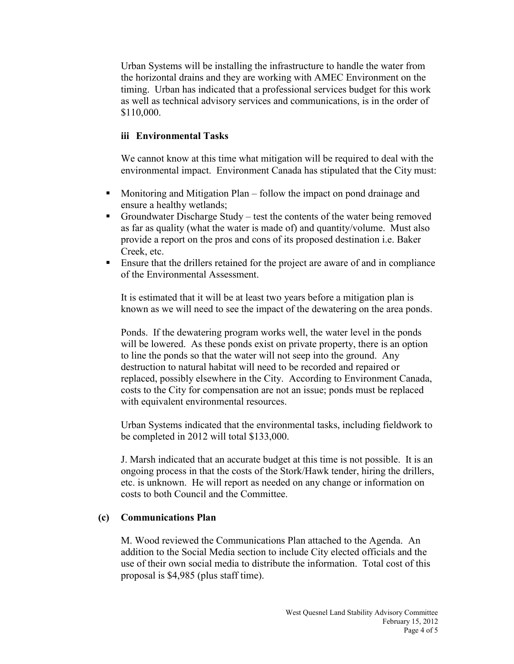Urban Systems will be installing the infrastructure to handle the water from the horizontal drains and they are working with AMEC Environment on the timing. Urban has indicated that a professional services budget for this work as well as technical advisory services and communications, is in the order of \$110,000.

## **iii Environmental Tasks**

We cannot know at this time what mitigation will be required to deal with the environmental impact. Environment Canada has stipulated that the City must:

- Monitoring and Mitigation Plan follow the impact on pond drainage and ensure a healthy wetlands;
- Groundwater Discharge Study test the contents of the water being removed as far as quality (what the water is made of) and quantity/volume. Must also provide a report on the pros and cons of its proposed destination i.e. Baker Creek, etc.
- Ensure that the drillers retained for the project are aware of and in compliance of the Environmental Assessment.

It is estimated that it will be at least two years before a mitigation plan is known as we will need to see the impact of the dewatering on the area ponds.

Ponds. If the dewatering program works well, the water level in the ponds will be lowered. As these ponds exist on private property, there is an option to line the ponds so that the water will not seep into the ground. Any destruction to natural habitat will need to be recorded and repaired or replaced, possibly elsewhere in the City. According to Environment Canada, costs to the City for compensation are not an issue; ponds must be replaced with equivalent environmental resources.

Urban Systems indicated that the environmental tasks, including fieldwork to be completed in 2012 will total \$133,000.

J. Marsh indicated that an accurate budget at this time is not possible. It is an ongoing process in that the costs of the Stork/Hawk tender, hiring the drillers, etc. is unknown. He will report as needed on any change or information on costs to both Council and the Committee.

#### **(c) Communications Plan**

M. Wood reviewed the Communications Plan attached to the Agenda. An addition to the Social Media section to include City elected officials and the use of their own social media to distribute the information. Total cost of this proposal is \$4,985 (plus staff time).